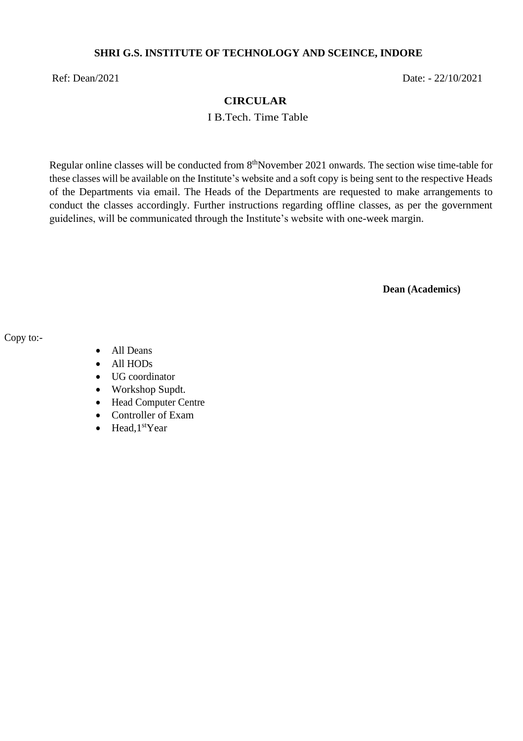#### **SHRI G.S. INSTITUTE OF TECHNOLOGY AND SCEINCE, INDORE**

Ref: Dean/2021 Date: - 22/10/2021

#### **CIRCULAR**

I B.Tech. Time Table

Regular online classes will be conducted from 8<sup>th</sup>November 2021 onwards. The section wise time-table for these classes will be available on the Institute's website and a soft copy is being sent to the respective Heads of the Departments via email. The Heads of the Departments are requested to make arrangements to conduct the classes accordingly. Further instructions regarding offline classes, as per the government guidelines, will be communicated through the Institute's website with one-week margin.

**Dean (Academics)**

Copy to:-

- All Deans
- All HODs
- UG coordinator
- Workshop Supdt.
- Head Computer Centre
- Controller of Exam
- Head, $1<sup>st</sup>Year$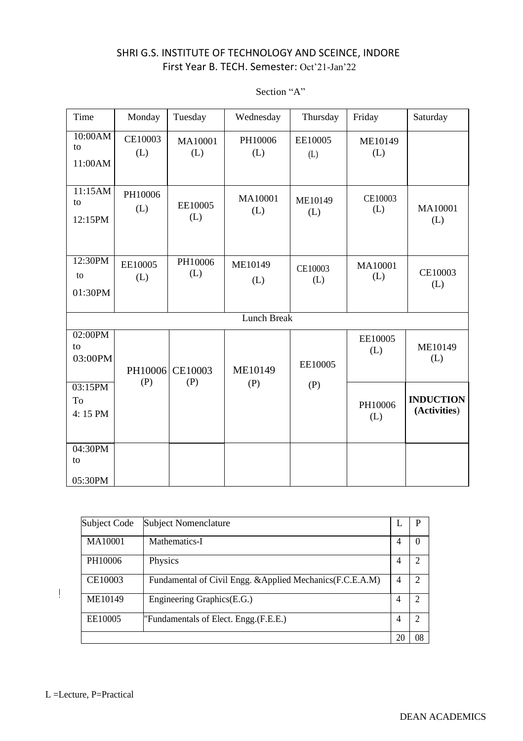| Time                     | Monday         | Tuesday        | Wednesday          | Thursday       | Friday         | Saturday                         |
|--------------------------|----------------|----------------|--------------------|----------------|----------------|----------------------------------|
| 10:00AM<br>to<br>11:00AM | CE10003<br>(L) | MA10001<br>(L) | PH10006<br>(L)     | EE10005<br>(L) | ME10149<br>(L) |                                  |
| 11:15AM<br>to<br>12:15PM | PH10006<br>(L) | EE10005<br>(L) | MA10001<br>(L)     | ME10149<br>(L) | CE10003<br>(L) | MA10001<br>(L)                   |
| 12:30PM<br>to<br>01:30PM | EE10005<br>(L) | PH10006<br>(L) | ME10149<br>(L)     | CE10003<br>(L) | MA10001<br>(L) | CE10003<br>(L)                   |
|                          |                |                | <b>Lunch Break</b> |                |                |                                  |
| 02:00PM<br>to<br>03:00PM | PH10006<br>(P) | CE10003<br>(P) | ME10149            | EE10005        | EE10005<br>(L) | ME10149<br>(L)                   |
| 03:15PM<br>To<br>4:15 PM |                |                | (P)                | (P)            | PH10006<br>(L) | <b>INDUCTION</b><br>(Activities) |
| 04:30PM<br>to<br>05:30PM |                |                |                    |                |                |                                  |

#### Section "A"

| Subject Code | <b>Subject Nomenclature</b>                                |   | P             |
|--------------|------------------------------------------------------------|---|---------------|
| MA10001      | Mathematics-I                                              | 4 | $\theta$      |
| PH10006      | Physics                                                    | 4 | 2             |
| CE10003      | Fundamental of Civil Engg. & Applied Mechanics (F.C.E.A.M) | 4 | 2             |
| ME10149      | Engineering Graphics(E.G.)                                 | 4 | $\mathcal{D}$ |
| EE10005      | Fundamentals of Elect. Engg. (F.E.E.)                      | 4 | $\mathcal{D}$ |
|              |                                                            |   | 08            |

 $\bar{\rm I}$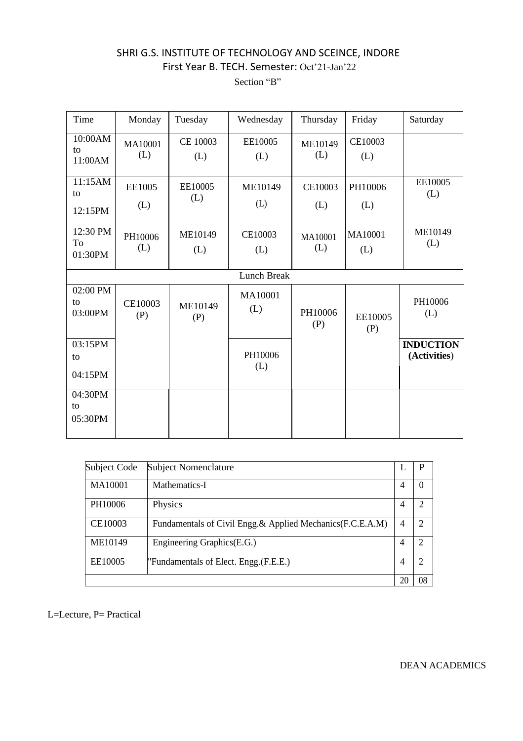Section "B"

| Time                      | Monday         | Tuesday         | Wednesday      | Thursday       | Friday         | Saturday                         |
|---------------------------|----------------|-----------------|----------------|----------------|----------------|----------------------------------|
| 10:00AM<br>to<br>11:00AM  | MA10001<br>(L) | CE 10003<br>(L) | EE10005<br>(L) | ME10149<br>(L) | CE10003<br>(L) |                                  |
| 11:15AM<br>to<br>12:15PM  | EE1005<br>(L)  | EE10005<br>(L)  | ME10149<br>(L) | CE10003<br>(L) | PH10006<br>(L) | EE10005<br>(L)                   |
| 12:30 PM<br>To<br>01:30PM | PH10006<br>(L) | ME10149<br>(L)  | CE10003<br>(L) | MA10001<br>(L) | MA10001<br>(L) | ME10149<br>(L)                   |
|                           |                |                 | Lunch Break    |                |                |                                  |
| 02:00 PM<br>to<br>03:00PM | CE10003<br>(P) | ME10149<br>(P)  | MA10001<br>(L) | PH10006<br>(P) | EE10005<br>(P) | PH10006<br>(L)                   |
| 03:15PM<br>to<br>04:15PM  |                |                 | PH10006<br>(L) |                |                | <b>INDUCTION</b><br>(Activities) |
| 04:30PM<br>to<br>05:30PM  |                |                 |                |                |                |                                  |

| Subject Code | <b>Subject Nomenclature</b>                                |    | P  |
|--------------|------------------------------------------------------------|----|----|
| MA10001      | Mathematics-I                                              | 4  |    |
| PH10006      | Physics                                                    | 4  | 2  |
| CE10003      | Fundamentals of Civil Engg.& Applied Mechanics (F.C.E.A.M) | 4  |    |
| ME10149      | Engineering Graphics(E.G.)                                 | 4  | 2  |
| EE10005      | "Fundamentals of Elect. Engg. (F.E.E.)                     | 4  | 2  |
|              |                                                            | 20 | 08 |

L=Lecture, P= Practical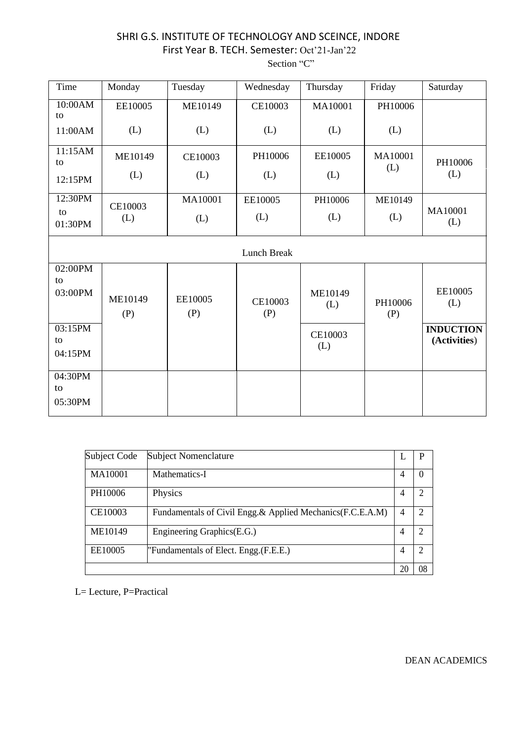| Time                     | Monday         | Tuesday        | Wednesday          | Thursday       | Friday         | Saturday                         |
|--------------------------|----------------|----------------|--------------------|----------------|----------------|----------------------------------|
| 10:00AM<br>to            | EE10005        | ME10149        | CE10003            | MA10001        | PH10006        |                                  |
| 11:00AM                  | (L)            | (L)            | (L)                | (L)            | (L)            |                                  |
| 11:15AM<br>to            | ME10149        | CE10003        | PH10006            | EE10005        | MA10001        | PH10006                          |
| 12:15PM                  | (L)            | (L)            | (L)                | (L)            | (L)            | (L)                              |
| 12:30PM                  | CE10003        | MA10001        | EE10005            | PH10006        | ME10149        |                                  |
| to<br>01:30PM            | (L)            | (L)            | (L)                | (L)            | (L)            | MA10001<br>(L)                   |
|                          |                |                | <b>Lunch Break</b> |                |                |                                  |
| 02:00PM<br>to<br>03:00PM | ME10149<br>(P) | EE10005<br>(P) | CE10003<br>(P)     | ME10149<br>(L) | PH10006<br>(P) | EE10005<br>(L)                   |
| 03:15PM<br>to<br>04:15PM |                |                |                    | CE10003<br>(L) |                | <b>INDUCTION</b><br>(Activities) |
| 04:30PM<br>to<br>05:30PM |                |                |                    |                |                |                                  |

| Subject Code | Subject Nomenclature                                        |   | P                           |
|--------------|-------------------------------------------------------------|---|-----------------------------|
| MA10001      | Mathematics-I                                               | 4 | $\theta$                    |
| PH10006      | Physics                                                     | 4 | $\overline{c}$              |
| CE10003      | Fundamentals of Civil Engg. & Applied Mechanics (F.C.E.A.M) | 4 | $\mathcal{D}_{\mathcal{A}}$ |
| ME10149      | Engineering Graphics(E.G.)                                  | 4 | $\overline{2}$              |
| EE10005      | "Fundamentals of Elect. Engg. (F.E.E.)                      | 4 | $\overline{2}$              |
|              |                                                             |   | 08                          |

L= Lecture, P=Practical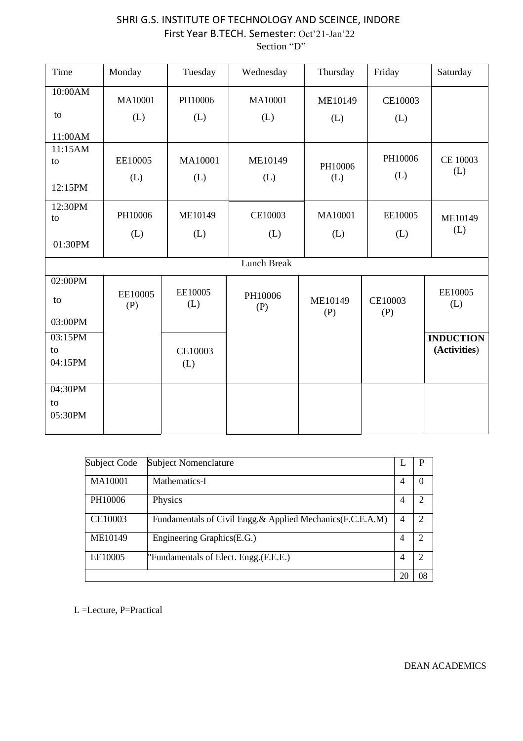Section "D"

| Time                     | Monday         | Tuesday        | Wednesday          | Thursday       | Friday         | Saturday                         |
|--------------------------|----------------|----------------|--------------------|----------------|----------------|----------------------------------|
| 10:00AM                  | MA10001        | PH10006        | MA10001            | ME10149        | CE10003        |                                  |
| to                       | (L)            | (L)            | (L)                | (L)            | (L)            |                                  |
| 11:00AM                  |                |                |                    |                |                |                                  |
| 11:15AM<br>to            | EE10005        | MA10001        | ME10149            | PH10006        | PH10006        | CE 10003                         |
| 12:15PM                  | (L)            | (L)            | (L)                | (L)            | (L)            | (L)                              |
| 12:30PM<br>to            | PH10006        | ME10149        | CE10003            | MA10001        | EE10005        | ME10149                          |
| 01:30PM                  | (L)            | (L)            | (L)                | (L)            | (L)            | (L)                              |
|                          |                |                | <b>Lunch Break</b> |                |                |                                  |
| $02:00\overline{PM}$     |                |                |                    |                |                |                                  |
| to                       | EE10005<br>(P) | EE10005<br>(L) | PH10006<br>(P)     | ME10149<br>(P) | CE10003<br>(P) | EE10005<br>(L)                   |
| 03:00PM                  |                |                |                    |                |                |                                  |
| 03:15PM<br>to<br>04:15PM |                | CE10003<br>(L) |                    |                |                | <b>INDUCTION</b><br>(Activities) |
| 04:30PM<br>to<br>05:30PM |                |                |                    |                |                |                                  |

| Subject Code | <b>Subject Nomenclature</b>                                |    | P        |
|--------------|------------------------------------------------------------|----|----------|
| MA10001      | Mathematics-I                                              | 4  | $\theta$ |
| PH10006      | Physics                                                    | 4  | 2        |
| CE10003      | Fundamentals of Civil Engg.& Applied Mechanics (F.C.E.A.M) | 4  | っ        |
| ME10149      | Engineering Graphics(E.G.)                                 | 4  | っ        |
| EE10005      | "Fundamentals of Elect. Engg. (F.E.E.)                     | 4  | 2        |
|              |                                                            | 20 | 08       |

L =Lecture, P=Practical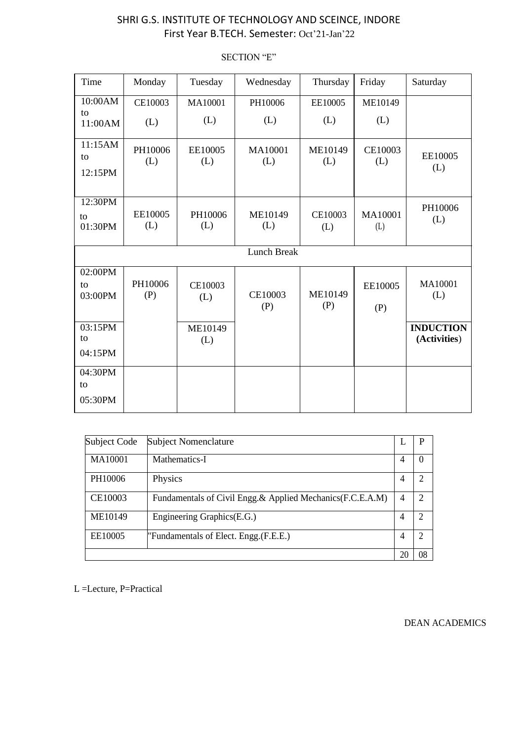Time | Monday | Tuesday | Wednesday | Thursday | Friday | Saturday 10:00AM to 11:00AM CE10003 (L) MA10001 (L) PH10006 (L) EE10005 (L) ME10149 (L) 11:15AM to 12:15PM PH10006 (L) EE10005 (L) MA10001 (L) ME10149 (L) CE10003  $\begin{array}{c|c}\n\hline\n\text{E10005}\n\end{array}$  EE10005 (L) 12:30PM to 01:30PM EE10005 (L) PH10006 (L) ME10149 (L) CE10003 (L) MA10001 (L) PH10006 (L) Lunch Break 02:00PM PH10006 (P) CE10003 (L) CE10003 (P) ME10149 (P) MA10001 (L) to 03:00PM EE10005 (P) 03:15PM to ME10149 (L) **INDUCTION (Activities**) 04:15PM 04:30PM to 05:30PM

| <b>SECTION "E"</b> |
|--------------------|
|--------------------|

| Subject Code | <b>Subject Nomenclature</b>                                |                | P              |
|--------------|------------------------------------------------------------|----------------|----------------|
| MA10001      | Mathematics-I                                              | 4              | 0              |
| PH10006      | Physics                                                    | 4              | 2              |
| CE10003      | Fundamentals of Civil Engg.& Applied Mechanics (F.C.E.A.M) | 4              | $\mathcal{D}$  |
| ME10149      | Engineering Graphics(E.G.)                                 | $\overline{4}$ | 2              |
| EE10005      | "Fundamentals of Elect. Engg. (F.E.E.)                     | 4              | $\mathfrak{D}$ |
|              |                                                            | 20             | 08             |

L =Lecture, P=Practical

DEAN ACADEMICS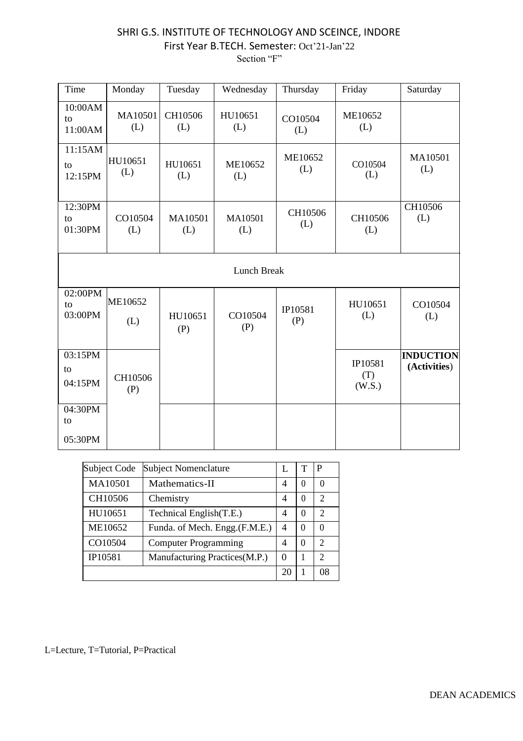Section "F"

| Time                     | Monday         | Tuesday        | Wednesday      | Thursday       | Friday                   | Saturday                         |
|--------------------------|----------------|----------------|----------------|----------------|--------------------------|----------------------------------|
| 10:00AM<br>to<br>11:00AM | MA10501<br>(L) | CH10506<br>(L) | HU10651<br>(L) | CO10504<br>(L) | ME10652<br>(L)           |                                  |
| 11:15AM<br>to<br>12:15PM | HU10651<br>(L) | HU10651<br>(L) | ME10652<br>(L) | ME10652<br>(L) | CO10504<br>(L)           | MA10501<br>(L)                   |
| 12:30PM<br>to<br>01:30PM | CO10504<br>(L) | MA10501<br>(L) | MA10501<br>(L) | CH10506<br>(L) | CH10506<br>(L)           | CH10506<br>(L)                   |
|                          |                |                | Lunch Break    |                |                          |                                  |
| 02:00PM<br>to<br>03:00PM | ME10652<br>(L) | HU10651<br>(P) | CO10504<br>(P) | IP10581<br>(P) | HU10651<br>(L)           | CO10504<br>(L)                   |
| 03:15PM<br>to<br>04:15PM | CH10506<br>(P) |                |                |                | IP10581<br>(T)<br>(W.S.) | <b>INDUCTION</b><br>(Activities) |
| 04:30PM<br>to<br>05:30PM |                |                |                |                |                          |                                  |

| Subject Code | <b>Subject Nomenclature</b>    |          |          | P             |
|--------------|--------------------------------|----------|----------|---------------|
| MA10501      | Mathematics-II                 | 4        | $\Omega$ | $\left($      |
| CH10506      | Chemistry                      | 4        | $\theta$ | 2             |
| HU10651      | Technical English(T.E.)        | 4        | $\Omega$ | $\mathcal{D}$ |
| ME10652      | Funda. of Mech. Engg. (F.M.E.) | 4        | $\theta$ | $\Omega$      |
| CO10504      | <b>Computer Programming</b>    | 4        | $\Omega$ | $\mathcal{D}$ |
| IP10581      | Manufacturing Practices(M.P.)  | $\Omega$ |          | 2             |
|              |                                | 20       |          | 08            |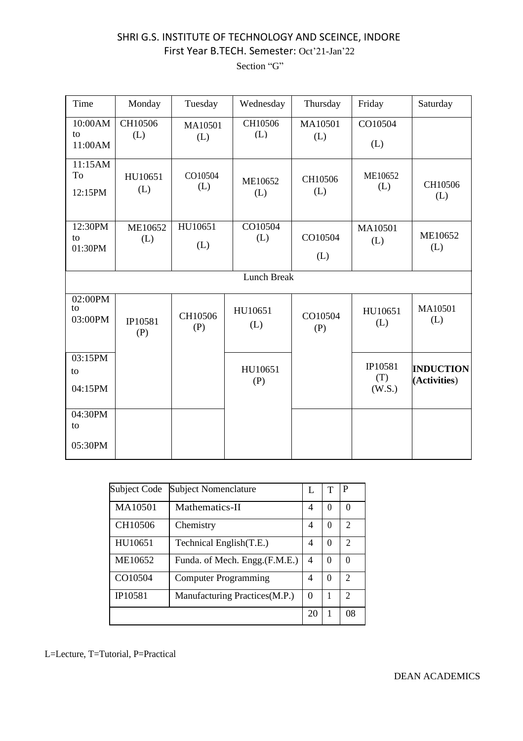Section "G"

| Time                                  | Monday         | Tuesday        | Wednesday          | Thursday       | Friday                   | Saturday                         |
|---------------------------------------|----------------|----------------|--------------------|----------------|--------------------------|----------------------------------|
| 10:00AM<br>to<br>11:00AM              | CH10506<br>(L) | MA10501<br>(L) | CH10506<br>(L)     | MA10501<br>(L) | CO10504<br>(L)           |                                  |
| 11:15AM<br>To<br>12:15PM              | HU10651<br>(L) | CO10504<br>(L) | ME10652<br>(L)     | CH10506<br>(L) | ME10652<br>(L)           | CH10506<br>(L)                   |
| 12:30PM<br>to<br>01:30PM              | ME10652<br>(L) | HU10651<br>(L) | CO10504<br>(L)     | CO10504<br>(L) | MA10501<br>(L)           | ME10652<br>(L)                   |
|                                       |                |                | <b>Lunch Break</b> |                |                          |                                  |
| 02:00PM<br>to<br>03:00PM              | IP10581<br>(P) | CH10506<br>(P) | HU10651<br>(L)     | CO10504<br>(P) | HU10651<br>(L)           | MA10501<br>(L)                   |
| 03:15PM<br>to<br>04:15PM              |                |                | HU10651<br>(P)     |                | IP10581<br>(T)<br>(W.S.) | <b>INDUCTION</b><br>(Activities) |
| $04:30\overline{PM}$<br>to<br>05:30PM |                |                |                    |                |                          |                                  |

| Subject Code | <b>Subject Nomenclature</b>    | L  | т | P              |
|--------------|--------------------------------|----|---|----------------|
| MA10501      | Mathematics-II                 | 4  | 0 | 0              |
| CH10506      | Chemistry                      | 4  | 0 | 2              |
| HU10651      | Technical English(T.E.)        | 4  | 0 | $\mathfrak{D}$ |
| ME10652      | Funda. of Mech. Engg. (F.M.E.) | 4  | 0 | 0              |
| CO10504      | <b>Computer Programming</b>    | 4  | 0 | $\mathfrak{D}$ |
| IP10581      | Manufacturing Practices(M.P.)  | 0  |   | $\mathfrak{D}$ |
|              |                                | 20 | 1 | 08             |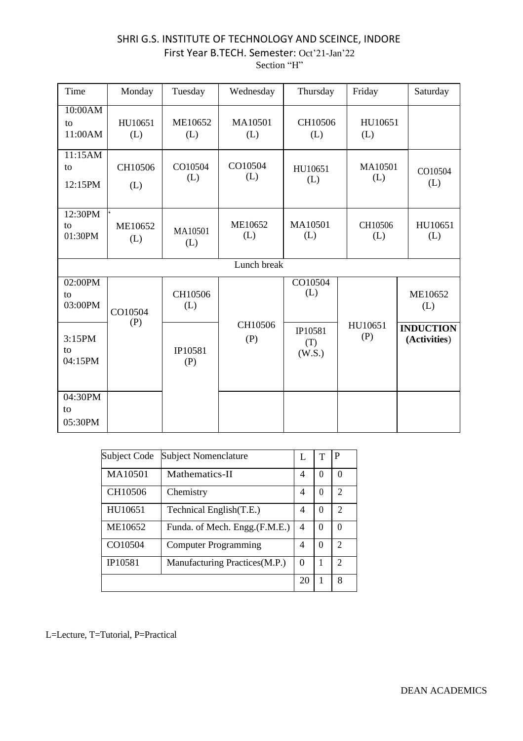| Time                     | Monday         | Tuesday        | Wednesday      | Thursday                 | Friday         | Saturday                         |
|--------------------------|----------------|----------------|----------------|--------------------------|----------------|----------------------------------|
| 10:00AM<br>to<br>11:00AM | HU10651<br>(L) | ME10652<br>(L) | MA10501<br>(L) | CH10506<br>(L)           | HU10651<br>(L) |                                  |
| 11:15AM<br>to<br>12:15PM | CH10506<br>(L) | CO10504<br>(L) | CO10504<br>(L) | HU10651<br>(L)           | MA10501<br>(L) | CO10504<br>(L)                   |
| 12:30PM<br>to<br>01:30PM | ME10652<br>(L) | MA10501<br>(L) | ME10652<br>(L) | MA10501<br>(L)           | CH10506<br>(L) | HU10651<br>(L)                   |
|                          |                |                | Lunch break    |                          |                |                                  |
| 02:00PM<br>to<br>03:00PM | CO10504        | CH10506<br>(L) |                | CO10504<br>(L)           |                | ME10652<br>(L)                   |
| 3:15PM<br>to<br>04:15PM  | (P)            | IP10581<br>(P) | CH10506<br>(P) | IP10581<br>(T)<br>(W.S.) | HU10651<br>(P) | <b>INDUCTION</b><br>(Activities) |
| 04:30PM<br>to<br>05:30PM |                |                |                |                          |                |                                  |

| Subject Code | <b>Subject Nomenclature</b>    |          |          | P                        |
|--------------|--------------------------------|----------|----------|--------------------------|
| MA10501      | Mathematics-II                 | 4        | $\Omega$ | 0                        |
| CH10506      | Chemistry                      | 4        | $\Omega$ | $\mathfrak{D}_{1}^{(1)}$ |
| HU10651      | Technical English(T.E.)        | 4        | 0        | $\mathfrak{D}_{1}^{(1)}$ |
| ME10652      | Funda. of Mech. Engg. (F.M.E.) | 4        | 0        | 0                        |
| CO10504      | <b>Computer Programming</b>    | 4        | 0        | $\mathfrak{D}$           |
| IP10581      | Manufacturing Practices(M.P.)  | $\Omega$ |          | C                        |
|              |                                | 20       |          | 8                        |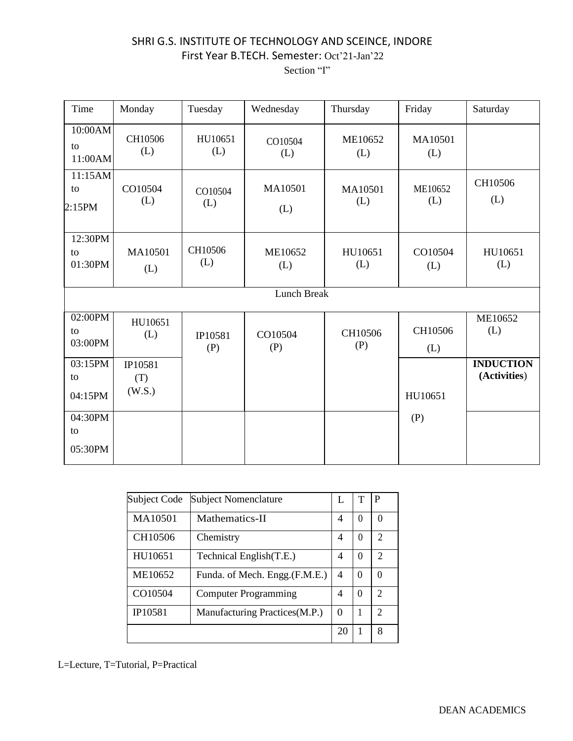| Time                     | Monday                   | Tuesday        | Wednesday      | Thursday       | Friday         | Saturday                         |
|--------------------------|--------------------------|----------------|----------------|----------------|----------------|----------------------------------|
| 10:00AM<br>to<br>11:00AM | CH10506<br>(L)           | HU10651<br>(L) | CO10504<br>(L) | ME10652<br>(L) | MA10501<br>(L) |                                  |
| 11:15AM<br>to<br>2:15PM  | CO10504<br>(L)           | CO10504<br>(L) | MA10501<br>(L) | MA10501<br>(L) | ME10652<br>(L) | CH10506<br>(L)                   |
| 12:30PM<br>to<br>01:30PM | MA10501<br>(L)           | CH10506<br>(L) | ME10652<br>(L) | HU10651<br>(L) | CO10504<br>(L) | HU10651<br>(L)                   |
|                          |                          |                | Lunch Break    |                |                |                                  |
| 02:00PM<br>to<br>03:00PM | HU10651<br>(L)           | IP10581<br>(P) | CO10504<br>(P) | CH10506<br>(P) | CH10506<br>(L) | ME10652<br>(L)                   |
| 03:15PM<br>to<br>04:15PM | IP10581<br>(T)<br>(W.S.) |                |                |                | HU10651        | <b>INDUCTION</b><br>(Activities) |
| 04:30PM<br>to<br>05:30PM |                          |                |                |                | (P)            |                                  |

| Subject Code | <b>Subject Nomenclature</b>    |    | т        | P              |
|--------------|--------------------------------|----|----------|----------------|
| MA10501      | Mathematics-II                 | 4  | 0        | 0              |
| CH10506      | Chemistry                      | 4  | 0        | $\mathfrak{D}$ |
| HU10651      | Technical English(T.E.)        | 4  | 0        | $\mathcal{D}$  |
| ME10652      | Funda. of Mech. Engg. (F.M.E.) | 4  | 0        | 0              |
| CO10504      | <b>Computer Programming</b>    | 4  | $\Omega$ | $\mathfrak{D}$ |
| IP10581      | Manufacturing Practices (M.P.) | 0  |          | $\mathfrak{D}$ |
|              |                                | 20 |          | 8              |